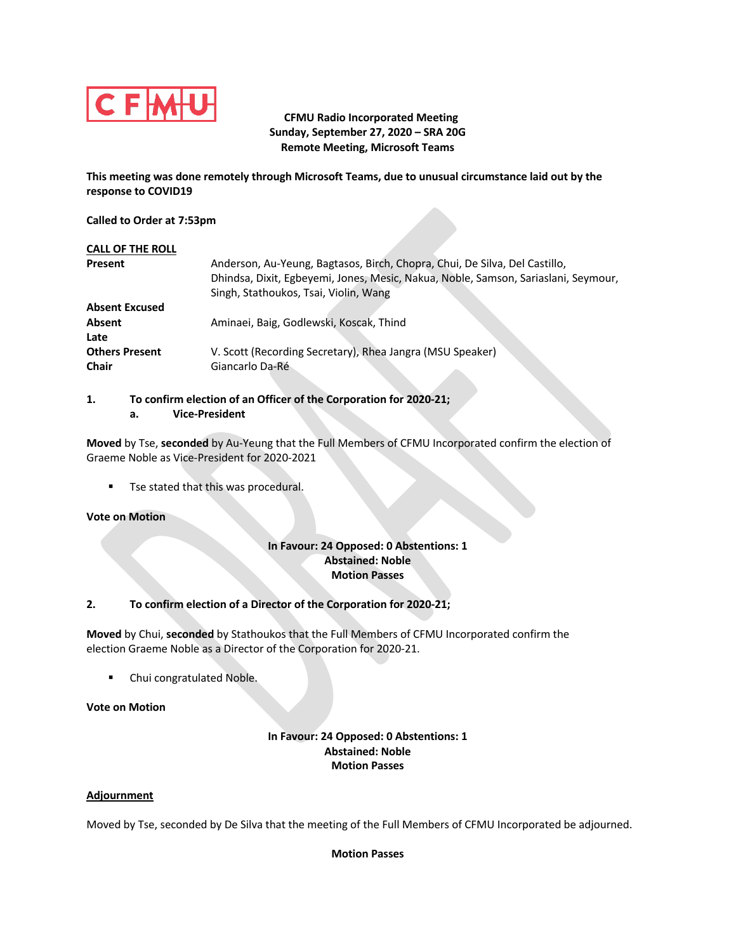

# **CFMU Radio Incorporated Meeting Sunday, September 27, 2020 – SRA 20G Remote Meeting, Microsoft Teams**

**This meeting was done remotely through Microsoft Teams, due to unusual circumstance laid out by the response to COVID19**

#### **Called to Order at 7:53pm**

| <b>CALL OF THE ROLL</b> |                                                                                    |
|-------------------------|------------------------------------------------------------------------------------|
| Present                 | Anderson, Au-Yeung, Bagtasos, Birch, Chopra, Chui, De Silva, Del Castillo,         |
|                         | Dhindsa, Dixit, Egbeyemi, Jones, Mesic, Nakua, Noble, Samson, Sariaslani, Seymour, |
|                         | Singh, Stathoukos, Tsai, Violin, Wang                                              |
| <b>Absent Excused</b>   |                                                                                    |
| Absent                  | Aminaei, Baig, Godlewski, Koscak, Thind                                            |
| Late                    |                                                                                    |
| <b>Others Present</b>   | V. Scott (Recording Secretary), Rhea Jangra (MSU Speaker)                          |
| <b>Chair</b>            | Giancarlo Da-Ré                                                                    |

**1. To confirm election of an Officer of the Corporation for 2020-21; a. Vice-President**

**Moved** by Tse, **seconded** by Au-Yeung that the Full Members of CFMU Incorporated confirm the election of Graeme Noble as Vice-President for 2020-2021

**•** Tse stated that this was procedural.

### **Vote on Motion**

### **In Favour: 24 Opposed: 0 Abstentions: 1 Abstained: Noble Motion Passes**

### **2. To confirm election of a Director of the Corporation for 2020-21;**

**Moved** by Chui, **seconded** by Stathoukos that the Full Members of CFMU Incorporated confirm the election Graeme Noble as a Director of the Corporation for 2020-21.

■ Chui congratulated Noble.

### **Vote on Motion**

## **In Favour: 24 Opposed: 0 Abstentions: 1 Abstained: Noble Motion Passes**

### **Adjournment**

Moved by Tse, seconded by De Silva that the meeting of the Full Members of CFMU Incorporated be adjourned.

### **Motion Passes**